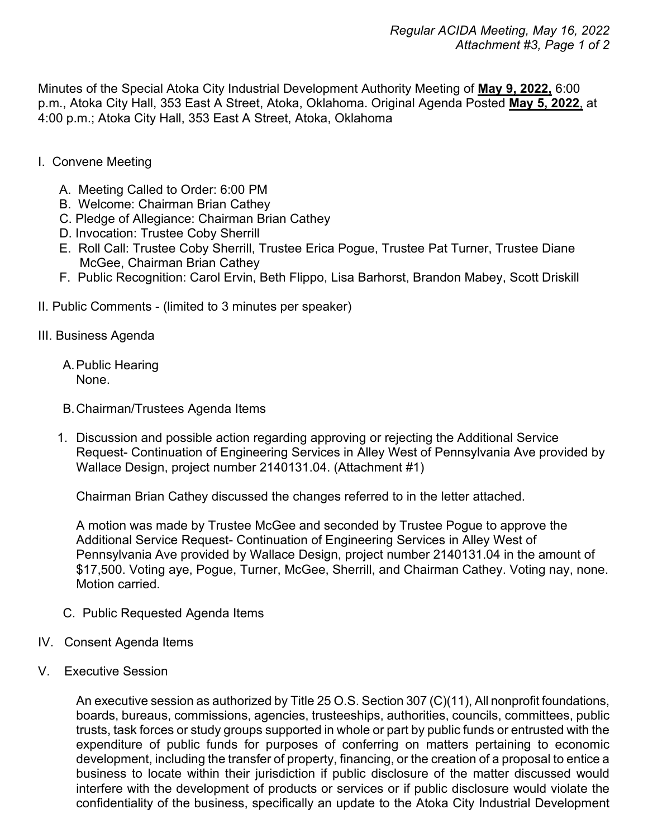Minutes of the Special Atoka City Industrial Development Authority Meeting of **May 9, 2022,** 6:00 p.m., Atoka City Hall, 353 East A Street, Atoka, Oklahoma. Original Agenda Posted **May 5, 2022**, at 4:00 p.m.; Atoka City Hall, 353 East A Street, Atoka, Oklahoma

- I. Convene Meeting
	- A. Meeting Called to Order: 6:00 PM
	- B. Welcome: Chairman Brian Cathey
	- C. Pledge of Allegiance: Chairman Brian Cathey
	- D. Invocation: Trustee Coby Sherrill
	- E. Roll Call: Trustee Coby Sherrill, Trustee Erica Pogue, Trustee Pat Turner, Trustee Diane McGee, Chairman Brian Cathey
	- F. Public Recognition: Carol Ervin, Beth Flippo, Lisa Barhorst, Brandon Mabey, Scott Driskill
- II. Public Comments (limited to 3 minutes per speaker)
- III. Business Agenda
	- A.Public Hearing None.
	- B.Chairman/Trustees Agenda Items
	- 1. Discussion and possible action regarding approving or rejecting the Additional Service Request- Continuation of Engineering Services in Alley West of Pennsylvania Ave provided by Wallace Design, project number 2140131.04. (Attachment #1)

Chairman Brian Cathey discussed the changes referred to in the letter attached.

A motion was made by Trustee McGee and seconded by Trustee Pogue to approve the Additional Service Request- Continuation of Engineering Services in Alley West of Pennsylvania Ave provided by Wallace Design, project number 2140131.04 in the amount of \$17,500. Voting aye, Pogue, Turner, McGee, Sherrill, and Chairman Cathey. Voting nay, none. Motion carried<sup>1</sup>

- C. Public Requested Agenda Items
- IV. Consent Agenda Items
- V. Executive Session

An executive session as authorized by Title 25 O.S. Section 307 (C)(11), All nonprofit foundations, boards, bureaus, commissions, agencies, trusteeships, authorities, councils, committees, public trusts, task forces or study groups supported in whole or part by public funds or entrusted with the expenditure of public funds for purposes of conferring on matters pertaining to economic development, including the transfer of property, financing, or the creation of a proposal to entice a business to locate within their jurisdiction if public disclosure of the matter discussed would interfere with the development of products or services or if public disclosure would violate the confidentiality of the business, specifically an update to the Atoka City Industrial Development